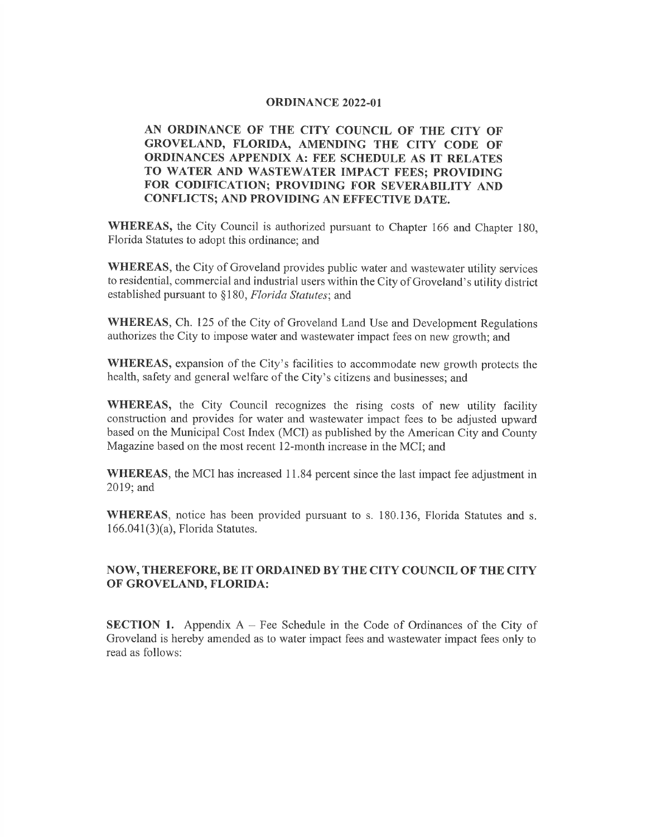## ORDINANCE 2022-OI

## AN ORDINANCE OF THE CITY COUNCIL OF THE CITY OF GROVELAND, FLORIDA, AMENDING THE CITY CODE OF ORDINANCES APPENDIX A: FEE SCHEDULE AS IT RELATES TO WATER AND WASTEWATER IMPACT FEES; PROVIDING FOR CODIFICATION; PROVIDING FOR SEVERABILITY AND CONFLICTS; AND PROVIDING AN EFFECTIVE DATE.

WHEREAS, the City Council is authorized pursuant to Chapter 166 and Chapter 180, Florida Statutes to adopt this ordinance; and

WHEREAS, the City of Groveland provides public water and wastewater utility services to residential, commercial and industrial users within the City of Groveland's utility district established pursuant to §180, Florida Statutes; and

WHEREAS, Ch. 125 of the City of Groveland Land Use and Development Regulations authorizes the City to impose water and wastewater impact fees on new growth; and

WHEREAS, expansion of the City's facilities to accommodate new growth protects the health, safety and general welfare of the City's citizens and businesses; and

WHEREAS, the City Council recognizes the rising costs of new utility facility construction and provides for water and wastewater impact fees to be adjusted upward based on the Municipal Cost Index (MCI) as published by the American City and County Magazine based on the most recent l2-month increase in the MCI; and

WHEREAS, the MCI has increased 11.84 percent since the last impact fee adjustment in 2019; and

WHEREAS, notice has been provided pursuant to s. 180.136, Florida Statutes and s.  $166.041(3)(a)$ , Florida Statutes.

## NOW, THEREFORE, BE IT ORDAINED BY THE CITY COUNCIL OF THE CITY oF GROVELAND, FLORIDA:

**SECTION 1.** Appendix  $A$  – Fee Schedule in the Code of Ordinances of the City of Groveland is hereby amended as to water impact fees and wastewater impact fees only to read as follows: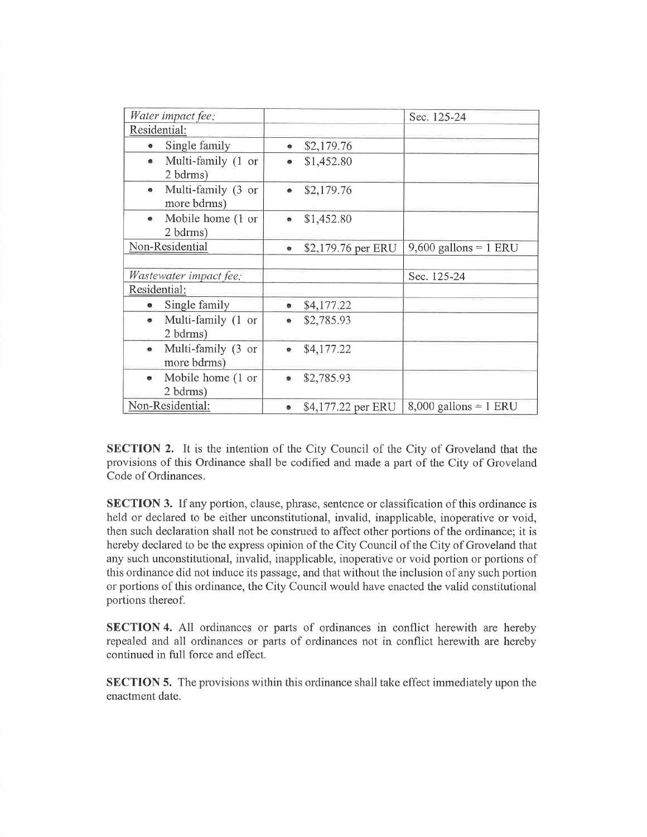| Water impact fee:                             |                                   |           |                    | Sec. 125-24             |
|-----------------------------------------------|-----------------------------------|-----------|--------------------|-------------------------|
| Residential:                                  |                                   |           |                    |                         |
| $\bullet$                                     | Single family                     | ۰         | \$2,179.76         |                         |
| $\bullet$                                     | Multi-family (1 or<br>2 bdrms)    |           | \$1,452.80         |                         |
| $\bullet$                                     | Multi-family (3 or<br>more bdrms) | $\bullet$ | \$2,179.76         |                         |
| $\bullet$                                     | Mobile home (1 or<br>2 bdrms)     |           | \$1,452.80         |                         |
| Non-Residential                               |                                   | ۰         | \$2,179.76 per ERU | $9,600$ gallons = 1 ERU |
| <i>Wastewater impact fee.</i><br>Residential: |                                   |           |                    | Sec. 125-24             |
|                                               |                                   |           |                    |                         |
| ۰                                             | Single family                     | ۰         | \$4,177.22         |                         |
| $\bullet$                                     | Multi-family (1 or<br>2 bdrms)    |           | \$2,785.93         |                         |
| $\bullet$                                     | Multi-family (3 or<br>more bdrms) |           | \$4,177.22         |                         |
| $\bullet$                                     | Mobile home (1 or<br>2 bdrms)     | $\bullet$ | \$2,785.93         |                         |
|                                               | Non-Residential:                  |           | \$4,177.22 per ERU | $8,000$ gallons = 1 ERU |

SECTION 2. It is the intention of the City Council of the City of Groveland that the provisions of this Ordinance shall be codified and made a part of the City of Groveland Code of Ordinances.

SECTION 3. If any portion, clause, phrase, sentence or classification of this ordinance is held or declared to be either unconstitutional, invalid, inapplicable, inoperative or void, then such declaration shall not be construed to affect other portions of the ordinance; it is hereby declared to be the express opinion of the City Council of the City of Groveland that any such unconstitutional, invalid, inapplicable, inoperative or void portion or portions of this ordinance did not induce its passage, and that without the inclusion of any such portion or portions of this ordinance, the City Council would have enacted the valid constitutional portions thereof.

SECTION 4. All ordinances or parts of ordinances in conflict herewith are hereby repealed and all ordinances or parts of ordinances not in conflict herewith are hereby continued in full force and effect.

SECTION 5. The provisions within this ordinance shall take effect immediately upon the enactment date.